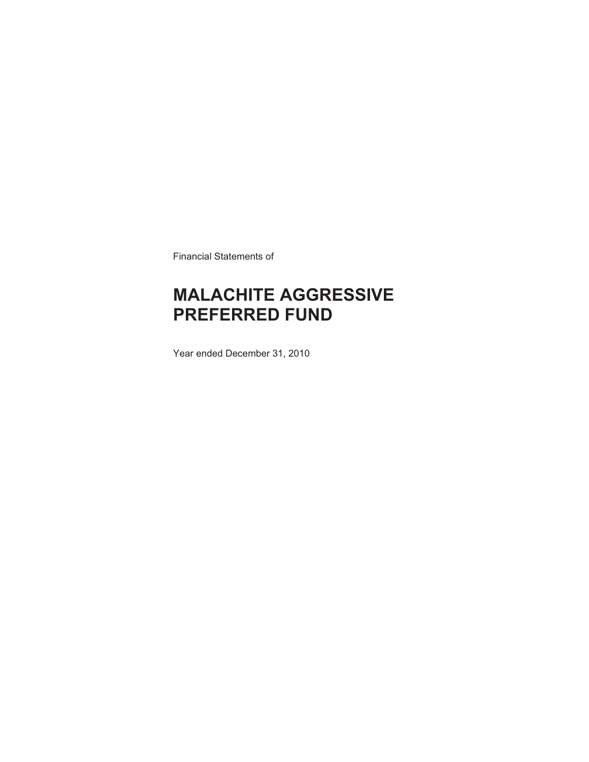Financial Statements of

# **MALACHITE AGGRESSIVE PREFERRED FUND**

Year ended December 31, 2010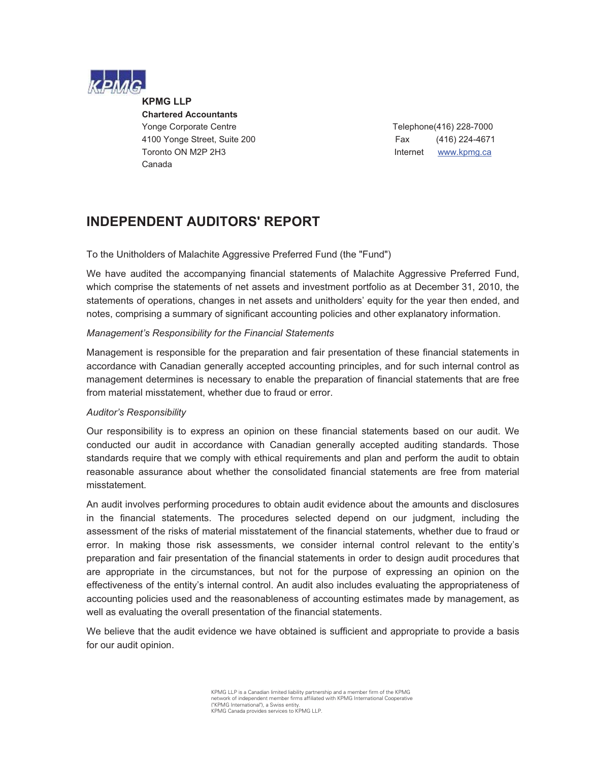

**KPMG LLP** 

 **Chartered Accountants**  Yonge Corporate Centre Telephone(416) 228-7000 4100 Yonge Street, Suite 200 Fax (416) 224-4671 Toronto ON M2P 2H3 **Internet WWW.kpmg.ca** Canada

### **INDEPENDENT AUDITORS' REPORT**

To the Unitholders of Malachite Aggressive Preferred Fund (the "Fund")

We have audited the accompanying financial statements of Malachite Aggressive Preferred Fund, which comprise the statements of net assets and investment portfolio as at December 31, 2010, the statements of operations, changes in net assets and unitholders' equity for the year then ended, and notes, comprising a summary of significant accounting policies and other explanatory information.

#### *Management's Responsibility for the Financial Statements*

Management is responsible for the preparation and fair presentation of these financial statements in accordance with Canadian generally accepted accounting principles, and for such internal control as management determines is necessary to enable the preparation of financial statements that are free from material misstatement, whether due to fraud or error.

#### *Auditor's Responsibility*

Our responsibility is to express an opinion on these financial statements based on our audit. We conducted our audit in accordance with Canadian generally accepted auditing standards. Those standards require that we comply with ethical requirements and plan and perform the audit to obtain reasonable assurance about whether the consolidated financial statements are free from material misstatement.

An audit involves performing procedures to obtain audit evidence about the amounts and disclosures in the financial statements. The procedures selected depend on our judgment, including the assessment of the risks of material misstatement of the financial statements, whether due to fraud or error. In making those risk assessments, we consider internal control relevant to the entity's preparation and fair presentation of the financial statements in order to design audit procedures that are appropriate in the circumstances, but not for the purpose of expressing an opinion on the effectiveness of the entity's internal control. An audit also includes evaluating the appropriateness of accounting policies used and the reasonableness of accounting estimates made by management, as well as evaluating the overall presentation of the financial statements.

We believe that the audit evidence we have obtained is sufficient and appropriate to provide a basis for our audit opinion.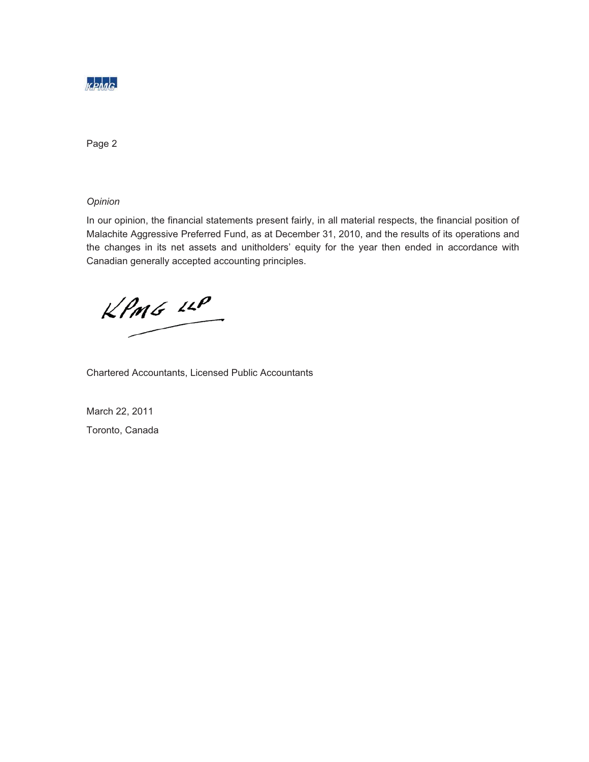

Page 2

*Opinion*

In our opinion, the financial statements present fairly, in all material respects, the financial position of Malachite Aggressive Preferred Fund, as at December 31, 2010, and the results of its operations and the changes in its net assets and unitholders' equity for the year then ended in accordance with Canadian generally accepted accounting principles.

 $KPMG$  14P

Chartered Accountants, Licensed Public Accountants

March 22, 2011 Toronto, Canada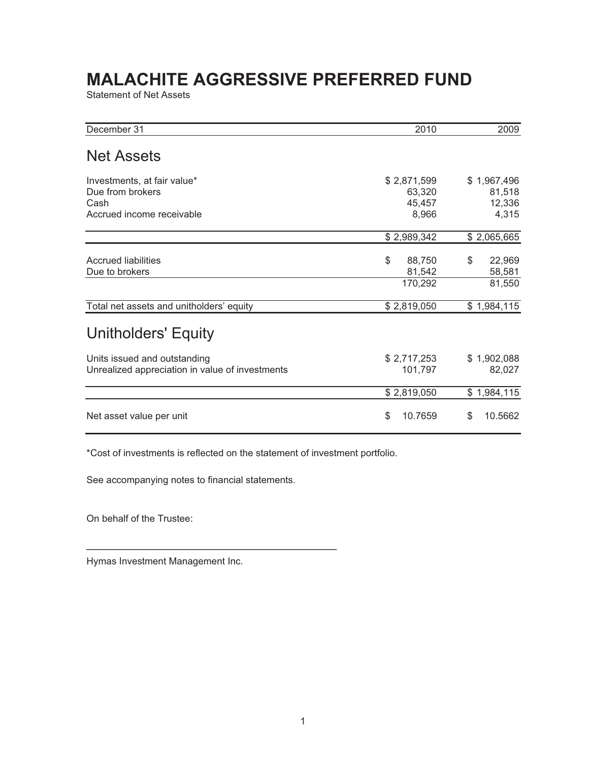Statement of Net Assets

| December 31                                                                          | 2010                                     | 2009                                     |
|--------------------------------------------------------------------------------------|------------------------------------------|------------------------------------------|
| <b>Net Assets</b>                                                                    |                                          |                                          |
| Investments, at fair value*<br>Due from brokers<br>Cash<br>Accrued income receivable | \$2,871,599<br>63,320<br>45,457<br>8,966 | \$1,967,496<br>81,518<br>12,336<br>4,315 |
|                                                                                      | \$2,989,342                              | \$2,065,665                              |
| Accrued liabilities<br>Due to brokers                                                | \$<br>88,750<br>81,542<br>170,292        | \$<br>22,969<br>58,581<br>81,550         |
| Total net assets and unitholders' equity                                             | \$2,819,050                              | \$1,984,115                              |
| Unitholders' Equity                                                                  |                                          |                                          |
| Units issued and outstanding<br>Unrealized appreciation in value of investments      | \$2,717,253<br>101,797                   | \$1,902,088<br>82,027                    |
|                                                                                      | \$2,819,050                              | \$1,984,115                              |
| Net asset value per unit                                                             | \$<br>10.7659                            | \$<br>10.5662                            |

\*Cost of investments is reflected on the statement of investment portfolio.

See accompanying notes to financial statements.

\_\_\_\_\_\_\_\_\_\_\_\_\_\_\_\_\_\_\_\_\_\_\_\_\_\_\_\_\_\_\_\_\_\_\_\_\_\_\_

On behalf of the Trustee:

Hymas Investment Management Inc.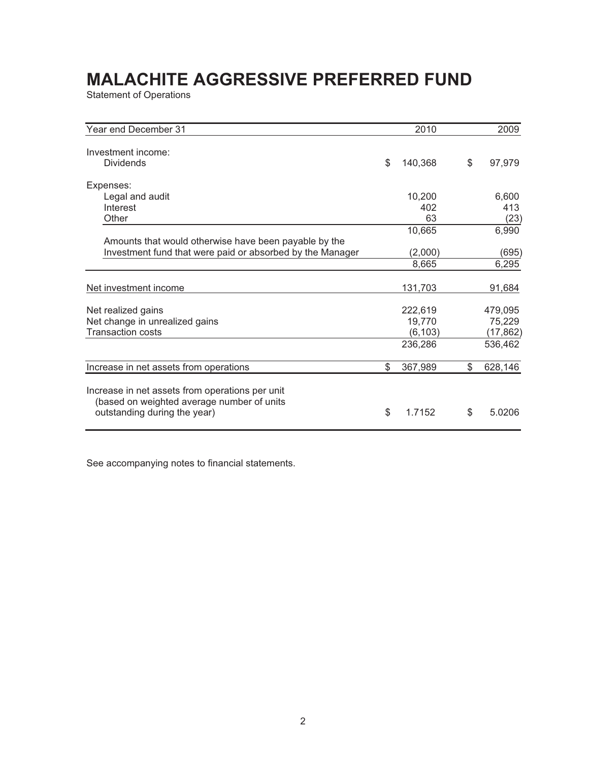Statement of Operations

| Year end December 31                                                                                                          | 2010          | 2009          |
|-------------------------------------------------------------------------------------------------------------------------------|---------------|---------------|
| Investment income:<br><b>Dividends</b>                                                                                        | \$<br>140,368 | \$<br>97,979  |
| Expenses:                                                                                                                     |               |               |
| Legal and audit                                                                                                               | 10,200        | 6,600         |
| Interest                                                                                                                      | 402           | 413           |
| Other                                                                                                                         | 63            | (23)          |
|                                                                                                                               | 10,665        | 6,990         |
| Amounts that would otherwise have been payable by the                                                                         |               |               |
| Investment fund that were paid or absorbed by the Manager                                                                     | (2,000)       | (695)         |
|                                                                                                                               | 8,665         | 6,295         |
|                                                                                                                               |               |               |
| Net investment income                                                                                                         | 131,703       | 91,684        |
|                                                                                                                               |               |               |
| Net realized gains                                                                                                            | 222,619       | 479,095       |
| Net change in unrealized gains                                                                                                | 19.770        | 75,229        |
| <b>Transaction costs</b>                                                                                                      | (6, 103)      | (17, 862)     |
|                                                                                                                               | 236,286       | 536,462       |
| Increase in net assets from operations                                                                                        | \$<br>367,989 | \$<br>628,146 |
| Increase in net assets from operations per unit<br>(based on weighted average number of units<br>outstanding during the year) | \$<br>1.7152  | \$<br>5.0206  |

See accompanying notes to financial statements.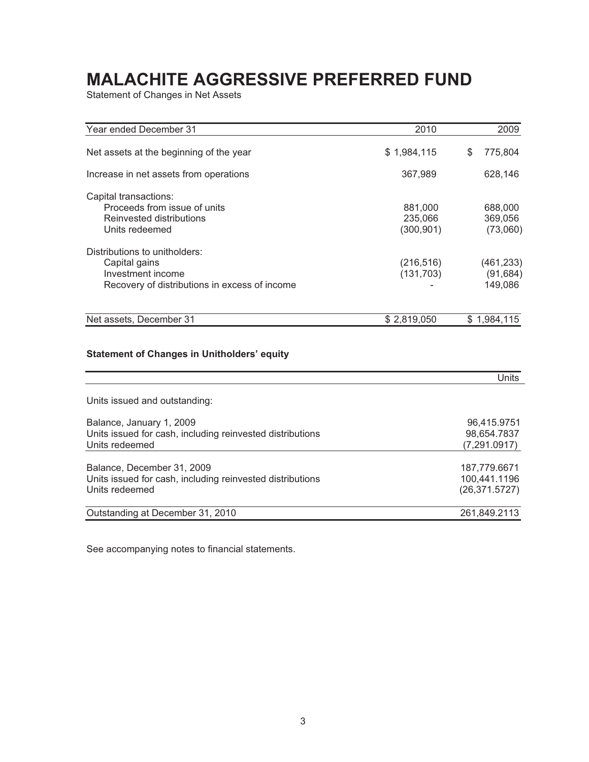Statement of Changes in Net Assets

| Year ended December 31                                    | 2010                  | 2009                |
|-----------------------------------------------------------|-----------------------|---------------------|
| Net assets at the beginning of the year                   | \$1,984,115           | \$<br>775,804       |
| Increase in net assets from operations                    | 367,989               | 628,146             |
| Capital transactions:                                     |                       |                     |
| Proceeds from issue of units                              | 881,000               | 688,000             |
| Reinvested distributions<br>Units redeemed                | 235,066<br>(300, 901) | 369,056<br>(73,060) |
| Distributions to unitholders:                             |                       |                     |
| Capital gains                                             | (216, 516)            | (461, 233)          |
| Investment income                                         | (131, 703)            | (91, 684)           |
| Recovery of distributions in excess of income             |                       | 149,086             |
| Net assets, December 31                                   | \$2,819,050           | \$1,984,115         |
| <b>Statement of Changes in Unitholders' equity</b>        |                       | <b>Units</b>        |
| Units issued and outstanding:                             |                       |                     |
| Balance, January 1, 2009                                  |                       | 96,415.9751         |
| Units issued for cash, including reinvested distributions |                       | 98,654.7837         |
| Units redeemed                                            |                       | (7, 291.0917)       |
| Balance, December 31, 2009                                |                       | 187,779.6671        |
| Units issued for cash, including reinvested distributions |                       | 100,441.1196        |
| Units redeemed                                            |                       | (26, 371.5727)      |
| Outstanding at December 31, 2010                          |                       | 261,849.2113        |

See accompanying notes to financial statements.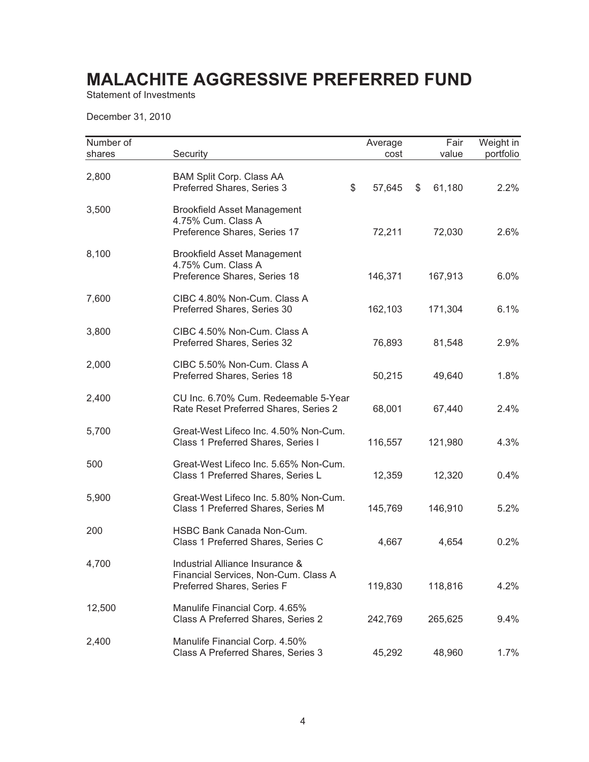Statement of Investments

December 31, 2010

| Number of<br>shares | Security                                                                                              | Average<br>cost | Fair<br>value | Weight in<br>portfolio |
|---------------------|-------------------------------------------------------------------------------------------------------|-----------------|---------------|------------------------|
| 2,800               | <b>BAM Split Corp. Class AA</b><br>\$<br>Preferred Shares, Series 3                                   | 57,645          | 61,180<br>\$  | 2.2%                   |
| 3,500               | <b>Brookfield Asset Management</b><br>4.75% Cum. Class A<br>Preference Shares, Series 17              | 72,211          | 72,030        | 2.6%                   |
| 8,100               | <b>Brookfield Asset Management</b><br>4.75% Cum. Class A<br>Preference Shares, Series 18              | 146,371         | 167,913       | 6.0%                   |
| 7,600               | CIBC 4.80% Non-Cum. Class A<br>Preferred Shares, Series 30                                            | 162,103         | 171,304       | 6.1%                   |
| 3,800               | CIBC 4.50% Non-Cum. Class A<br>Preferred Shares, Series 32                                            | 76,893          | 81,548        | 2.9%                   |
| 2,000               | CIBC 5.50% Non-Cum. Class A<br>Preferred Shares, Series 18                                            | 50,215          | 49,640        | 1.8%                   |
| 2,400               | CU Inc. 6.70% Cum. Redeemable 5-Year<br>Rate Reset Preferred Shares, Series 2                         | 68,001          | 67,440        | 2.4%                   |
| 5,700               | Great-West Lifeco Inc. 4.50% Non-Cum.<br>Class 1 Preferred Shares, Series I                           | 116,557         | 121,980       | 4.3%                   |
| 500                 | Great-West Lifeco Inc. 5.65% Non-Cum.<br>Class 1 Preferred Shares, Series L                           | 12,359          | 12,320        | 0.4%                   |
| 5,900               | Great-West Lifeco Inc. 5.80% Non-Cum.<br>Class 1 Preferred Shares, Series M                           | 145,769         | 146,910       | 5.2%                   |
| 200                 | HSBC Bank Canada Non-Cum.<br>Class 1 Preferred Shares, Series C                                       | 4,667           | 4,654         | 0.2%                   |
| 4,700               | Industrial Alliance Insurance &<br>Financial Services, Non-Cum. Class A<br>Preferred Shares, Series F | 119,830         | 118,816       | 4.2%                   |
| 12,500              | Manulife Financial Corp. 4.65%<br>Class A Preferred Shares, Series 2                                  | 242,769         | 265,625       | 9.4%                   |
| 2,400               | Manulife Financial Corp. 4.50%<br>Class A Preferred Shares, Series 3                                  | 45,292          | 48,960        | 1.7%                   |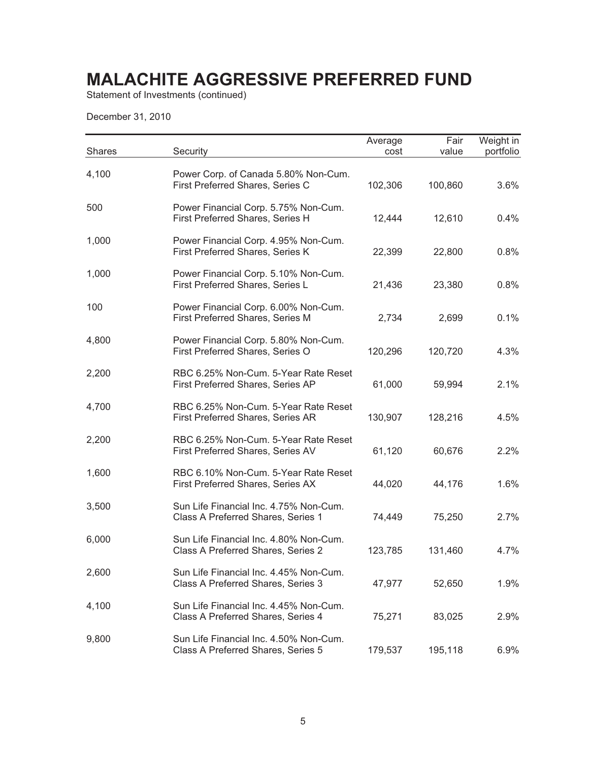Statement of Investments (continued)

December 31, 2010

| <b>Shares</b> | Security                                                                     | Average<br>cost | Fair<br>value | Weight in<br>portfolio |
|---------------|------------------------------------------------------------------------------|-----------------|---------------|------------------------|
| 4,100         | Power Corp. of Canada 5.80% Non-Cum.<br>First Preferred Shares, Series C     | 102,306         | 100,860       | 3.6%                   |
| 500           | Power Financial Corp. 5.75% Non-Cum.<br>First Preferred Shares, Series H     | 12,444          | 12,610        | 0.4%                   |
| 1,000         | Power Financial Corp. 4.95% Non-Cum.<br>First Preferred Shares, Series K     | 22,399          | 22,800        | 0.8%                   |
| 1,000         | Power Financial Corp. 5.10% Non-Cum.<br>First Preferred Shares, Series L     | 21,436          | 23,380        | 0.8%                   |
| 100           | Power Financial Corp. 6.00% Non-Cum.<br>First Preferred Shares, Series M     | 2,734           | 2,699         | 0.1%                   |
| 4,800         | Power Financial Corp. 5.80% Non-Cum.<br>First Preferred Shares, Series O     | 120,296         | 120,720       | 4.3%                   |
| 2,200         | RBC 6.25% Non-Cum. 5-Year Rate Reset<br>First Preferred Shares, Series AP    | 61,000          | 59,994        | 2.1%                   |
| 4,700         | RBC 6.25% Non-Cum. 5-Year Rate Reset<br>First Preferred Shares, Series AR    | 130,907         | 128,216       | 4.5%                   |
| 2,200         | RBC 6.25% Non-Cum. 5-Year Rate Reset<br>First Preferred Shares, Series AV    | 61,120          | 60,676        | 2.2%                   |
| 1,600         | RBC 6.10% Non-Cum. 5-Year Rate Reset<br>First Preferred Shares, Series AX    | 44,020          | 44,176        | 1.6%                   |
| 3,500         | Sun Life Financial Inc. 4.75% Non-Cum.<br>Class A Preferred Shares, Series 1 | 74,449          | 75,250        | 2.7%                   |
| 6,000         | Sun Life Financial Inc. 4.80% Non-Cum.<br>Class A Preferred Shares, Series 2 | 123,785         | 131,460       | 4.7%                   |
| 2,600         | Sun Life Financial Inc. 4.45% Non-Cum.<br>Class A Preferred Shares, Series 3 | 47,977          | 52,650        | 1.9%                   |
| 4,100         | Sun Life Financial Inc. 4.45% Non-Cum.<br>Class A Preferred Shares, Series 4 | 75,271          | 83,025        | 2.9%                   |
| 9,800         | Sun Life Financial Inc. 4.50% Non-Cum.<br>Class A Preferred Shares, Series 5 | 179,537         | 195,118       | 6.9%                   |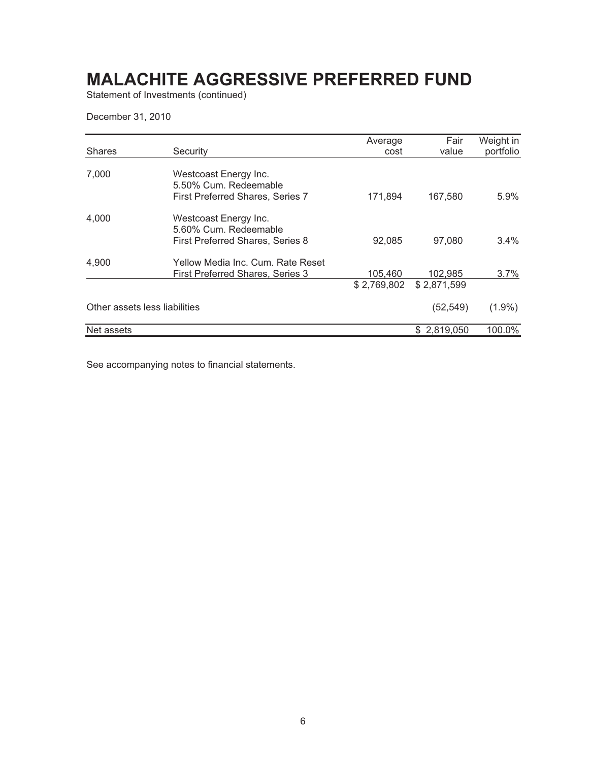Statement of Investments (continued)

December 31, 2010

|                               |                                                                                           | Average                | Fair                   | Weight in |
|-------------------------------|-------------------------------------------------------------------------------------------|------------------------|------------------------|-----------|
| <b>Shares</b>                 | Security                                                                                  | cost                   | value                  | portfolio |
| 7,000                         | Westcoast Energy Inc.<br>5.50% Cum. Redeemable<br><b>First Preferred Shares, Series 7</b> | 171,894                | 167,580                | 5.9%      |
| 4,000                         | Westcoast Energy Inc.<br>5.60% Cum. Redeemable<br>First Preferred Shares, Series 8        | 92,085                 | 97,080                 | 3.4%      |
| 4,900                         | Yellow Media Inc. Cum. Rate Reset<br><b>First Preferred Shares, Series 3</b>              | 105,460<br>\$2,769,802 | 102,985<br>\$2,871,599 | 3.7%      |
| Other assets less liabilities |                                                                                           |                        | (52,549)               | $(1.9\%)$ |
| Net assets                    |                                                                                           |                        | \$2,819,050            | 100.0%    |

See accompanying notes to financial statements.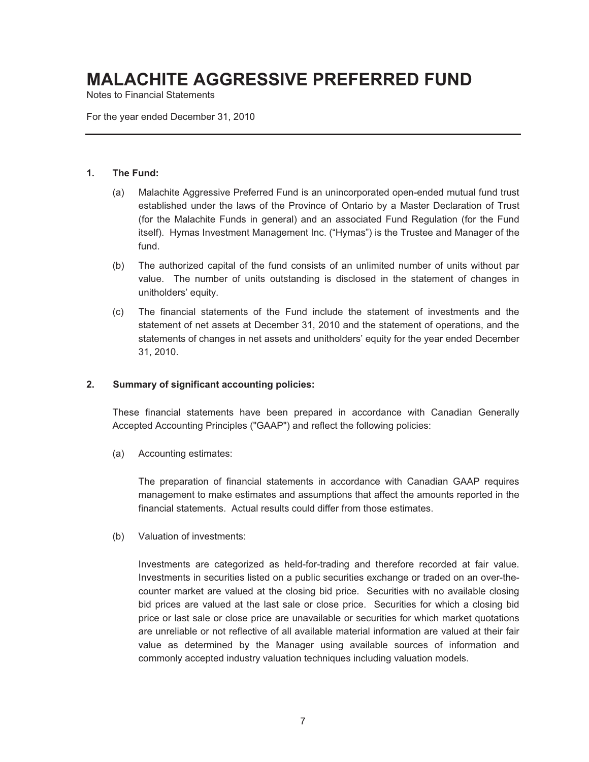Notes to Financial Statements

For the year ended December 31, 2010

#### **1. The Fund:**

- (a) Malachite Aggressive Preferred Fund is an unincorporated open-ended mutual fund trust established under the laws of the Province of Ontario by a Master Declaration of Trust (for the Malachite Funds in general) and an associated Fund Regulation (for the Fund itself). Hymas Investment Management Inc. ("Hymas") is the Trustee and Manager of the fund.
- (b) The authorized capital of the fund consists of an unlimited number of units without par value. The number of units outstanding is disclosed in the statement of changes in unitholders' equity.
- (c) The financial statements of the Fund include the statement of investments and the statement of net assets at December 31, 2010 and the statement of operations, and the statements of changes in net assets and unitholders' equity for the year ended December 31, 2010.

#### **2. Summary of significant accounting policies:**

These financial statements have been prepared in accordance with Canadian Generally Accepted Accounting Principles ("GAAP") and reflect the following policies:

(a) Accounting estimates:

The preparation of financial statements in accordance with Canadian GAAP requires management to make estimates and assumptions that affect the amounts reported in the financial statements. Actual results could differ from those estimates.

(b) Valuation of investments:

Investments are categorized as held-for-trading and therefore recorded at fair value. Investments in securities listed on a public securities exchange or traded on an over-thecounter market are valued at the closing bid price. Securities with no available closing bid prices are valued at the last sale or close price. Securities for which a closing bid price or last sale or close price are unavailable or securities for which market quotations are unreliable or not reflective of all available material information are valued at their fair value as determined by the Manager using available sources of information and commonly accepted industry valuation techniques including valuation models.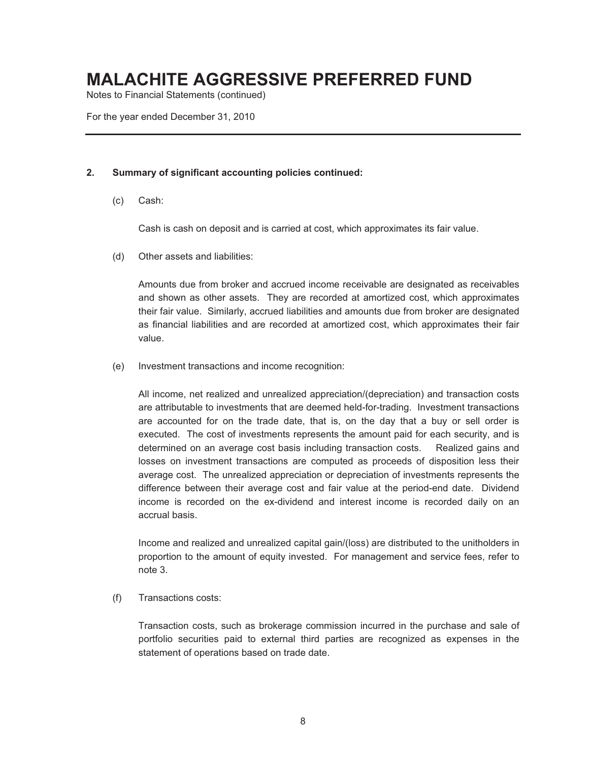Notes to Financial Statements (continued)

For the year ended December 31, 2010

#### **2. Summary of significant accounting policies continued:**

(c) Cash:

Cash is cash on deposit and is carried at cost, which approximates its fair value.

(d) Other assets and liabilities:

Amounts due from broker and accrued income receivable are designated as receivables and shown as other assets. They are recorded at amortized cost, which approximates their fair value. Similarly, accrued liabilities and amounts due from broker are designated as financial liabilities and are recorded at amortized cost, which approximates their fair value.

(e) Investment transactions and income recognition:

All income, net realized and unrealized appreciation/(depreciation) and transaction costs are attributable to investments that are deemed held-for-trading. Investment transactions are accounted for on the trade date, that is, on the day that a buy or sell order is executed. The cost of investments represents the amount paid for each security, and is determined on an average cost basis including transaction costs. Realized gains and losses on investment transactions are computed as proceeds of disposition less their average cost. The unrealized appreciation or depreciation of investments represents the difference between their average cost and fair value at the period-end date. Dividend income is recorded on the ex-dividend and interest income is recorded daily on an accrual basis.

Income and realized and unrealized capital gain/(loss) are distributed to the unitholders in proportion to the amount of equity invested. For management and service fees, refer to note 3.

(f) Transactions costs:

Transaction costs, such as brokerage commission incurred in the purchase and sale of portfolio securities paid to external third parties are recognized as expenses in the statement of operations based on trade date.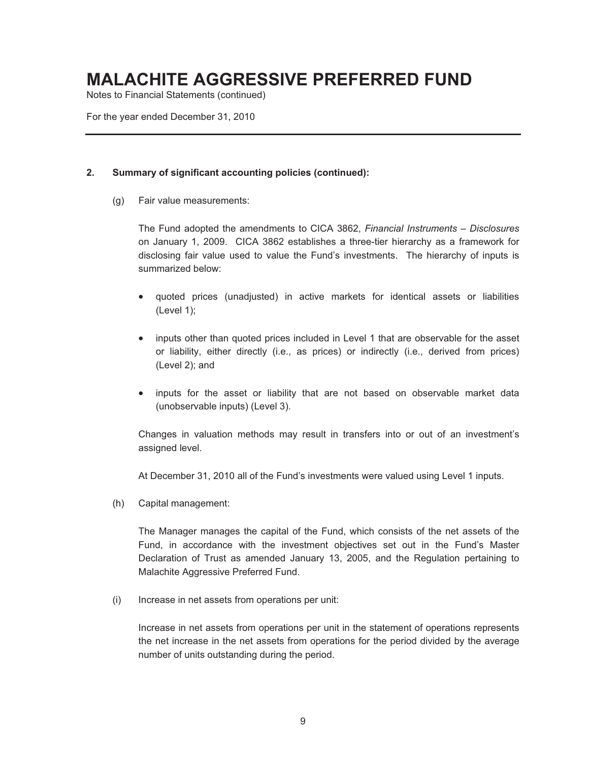Notes to Financial Statements (continued)

For the year ended December 31, 2010

#### **2. Summary of significant accounting policies (continued):**

(g) Fair value measurements:

The Fund adopted the amendments to CICA 3862, *Financial Instruments – Disclosures*  on January 1, 2009. CICA 3862 establishes a three-tier hierarchy as a framework for disclosing fair value used to value the Fund's investments. The hierarchy of inputs is summarized below:

- quoted prices (unadjusted) in active markets for identical assets or liabilities (Level 1);
- inputs other than quoted prices included in Level 1 that are observable for the asset or liability, either directly (i.e., as prices) or indirectly (i.e., derived from prices) (Level 2); and
- inputs for the asset or liability that are not based on observable market data (unobservable inputs) (Level 3).

Changes in valuation methods may result in transfers into or out of an investment's assigned level.

At December 31, 2010 all of the Fund's investments were valued using Level 1 inputs.

(h) Capital management:

The Manager manages the capital of the Fund, which consists of the net assets of the Fund, in accordance with the investment objectives set out in the Fund's Master Declaration of Trust as amended January 13, 2005, and the Regulation pertaining to Malachite Aggressive Preferred Fund.

(i) Increase in net assets from operations per unit:

Increase in net assets from operations per unit in the statement of operations represents the net increase in the net assets from operations for the period divided by the average number of units outstanding during the period.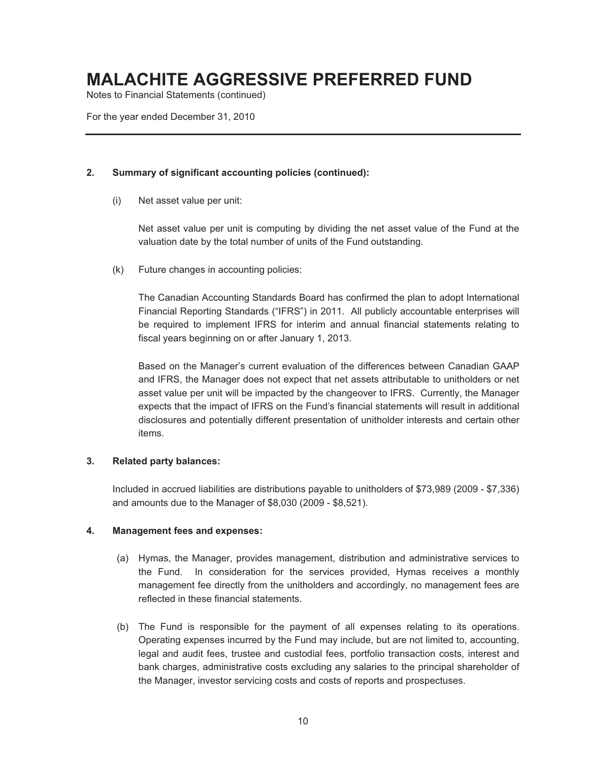Notes to Financial Statements (continued)

For the year ended December 31, 2010

#### **2. Summary of significant accounting policies (continued):**

(i) Net asset value per unit:

Net asset value per unit is computing by dividing the net asset value of the Fund at the valuation date by the total number of units of the Fund outstanding.

(k) Future changes in accounting policies:

The Canadian Accounting Standards Board has confirmed the plan to adopt International Financial Reporting Standards ("IFRS") in 2011. All publicly accountable enterprises will be required to implement IFRS for interim and annual financial statements relating to fiscal years beginning on or after January 1, 2013.

Based on the Manager's current evaluation of the differences between Canadian GAAP and IFRS, the Manager does not expect that net assets attributable to unitholders or net asset value per unit will be impacted by the changeover to IFRS. Currently, the Manager expects that the impact of IFRS on the Fund's financial statements will result in additional disclosures and potentially different presentation of unitholder interests and certain other items.

#### **3. Related party balances:**

Included in accrued liabilities are distributions payable to unitholders of \$73,989 (2009 - \$7,336) and amounts due to the Manager of \$8,030 (2009 - \$8,521).

#### **4. Management fees and expenses:**

- (a) Hymas, the Manager, provides management, distribution and administrative services to the Fund. In consideration for the services provided, Hymas receives a monthly management fee directly from the unitholders and accordingly, no management fees are reflected in these financial statements.
- (b) The Fund is responsible for the payment of all expenses relating to its operations. Operating expenses incurred by the Fund may include, but are not limited to, accounting, legal and audit fees, trustee and custodial fees, portfolio transaction costs, interest and bank charges, administrative costs excluding any salaries to the principal shareholder of the Manager, investor servicing costs and costs of reports and prospectuses.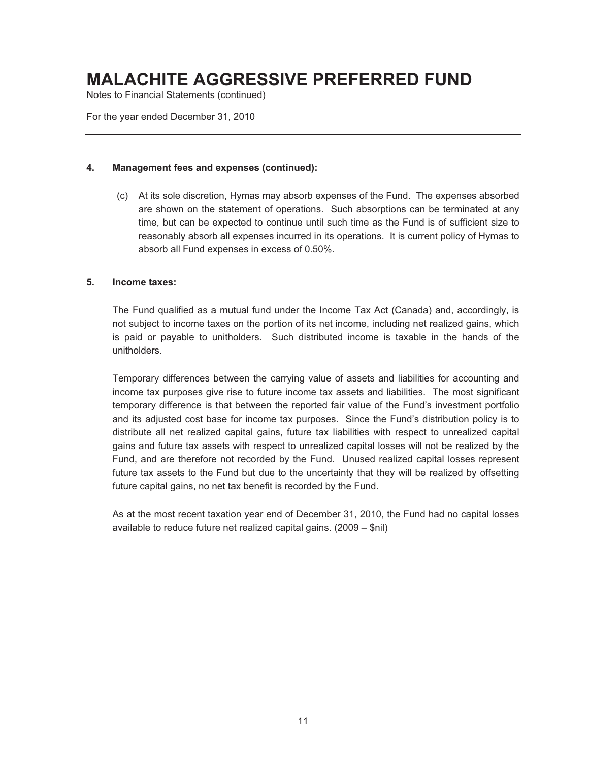Notes to Financial Statements (continued)

For the year ended December 31, 2010

#### **4. Management fees and expenses (continued):**

(c) At its sole discretion, Hymas may absorb expenses of the Fund. The expenses absorbed are shown on the statement of operations. Such absorptions can be terminated at any time, but can be expected to continue until such time as the Fund is of sufficient size to reasonably absorb all expenses incurred in its operations. It is current policy of Hymas to absorb all Fund expenses in excess of 0.50%.

#### **5. Income taxes:**

The Fund qualified as a mutual fund under the Income Tax Act (Canada) and, accordingly, is not subject to income taxes on the portion of its net income, including net realized gains, which is paid or payable to unitholders. Such distributed income is taxable in the hands of the unitholders.

Temporary differences between the carrying value of assets and liabilities for accounting and income tax purposes give rise to future income tax assets and liabilities. The most significant temporary difference is that between the reported fair value of the Fund's investment portfolio and its adjusted cost base for income tax purposes. Since the Fund's distribution policy is to distribute all net realized capital gains, future tax liabilities with respect to unrealized capital gains and future tax assets with respect to unrealized capital losses will not be realized by the Fund, and are therefore not recorded by the Fund. Unused realized capital losses represent future tax assets to the Fund but due to the uncertainty that they will be realized by offsetting future capital gains, no net tax benefit is recorded by the Fund.

As at the most recent taxation year end of December 31, 2010, the Fund had no capital losses available to reduce future net realized capital gains. (2009 – \$nil)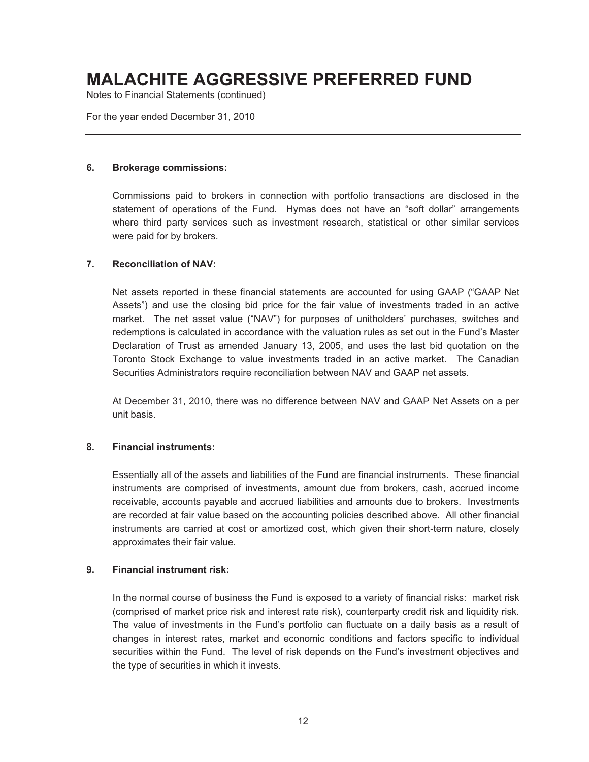Notes to Financial Statements (continued)

For the year ended December 31, 2010

#### **6. Brokerage commissions:**

Commissions paid to brokers in connection with portfolio transactions are disclosed in the statement of operations of the Fund. Hymas does not have an "soft dollar" arrangements where third party services such as investment research, statistical or other similar services were paid for by brokers.

#### **7. Reconciliation of NAV:**

Net assets reported in these financial statements are accounted for using GAAP ("GAAP Net Assets") and use the closing bid price for the fair value of investments traded in an active market. The net asset value ("NAV") for purposes of unitholders' purchases, switches and redemptions is calculated in accordance with the valuation rules as set out in the Fund's Master Declaration of Trust as amended January 13, 2005, and uses the last bid quotation on the Toronto Stock Exchange to value investments traded in an active market. The Canadian Securities Administrators require reconciliation between NAV and GAAP net assets.

At December 31, 2010, there was no difference between NAV and GAAP Net Assets on a per unit basis.

#### **8. Financial instruments:**

Essentially all of the assets and liabilities of the Fund are financial instruments. These financial instruments are comprised of investments, amount due from brokers, cash, accrued income receivable, accounts payable and accrued liabilities and amounts due to brokers. Investments are recorded at fair value based on the accounting policies described above. All other financial instruments are carried at cost or amortized cost, which given their short-term nature, closely approximates their fair value.

#### **9. Financial instrument risk:**

In the normal course of business the Fund is exposed to a variety of financial risks: market risk (comprised of market price risk and interest rate risk), counterparty credit risk and liquidity risk. The value of investments in the Fund's portfolio can fluctuate on a daily basis as a result of changes in interest rates, market and economic conditions and factors specific to individual securities within the Fund. The level of risk depends on the Fund's investment objectives and the type of securities in which it invests.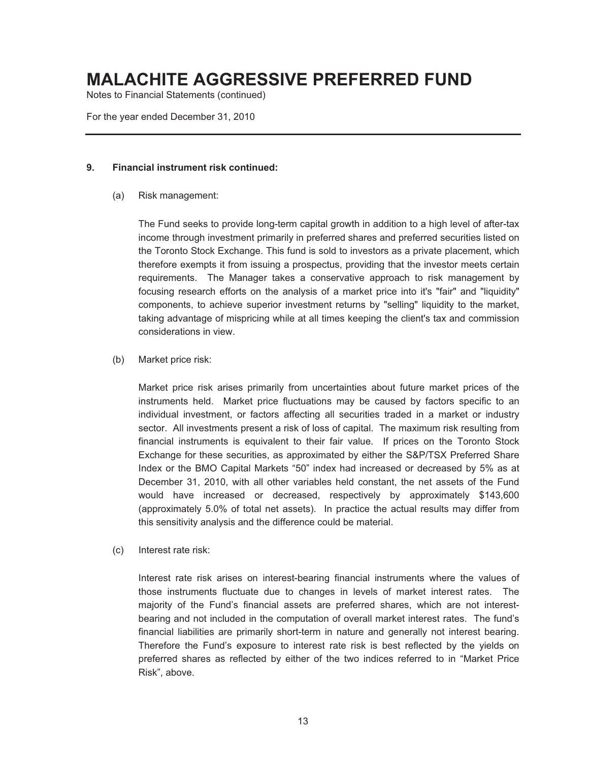Notes to Financial Statements (continued)

For the year ended December 31, 2010

#### **9. Financial instrument risk continued:**

(a) Risk management:

The Fund seeks to provide long-term capital growth in addition to a high level of after-tax income through investment primarily in preferred shares and preferred securities listed on the Toronto Stock Exchange. This fund is sold to investors as a private placement, which therefore exempts it from issuing a prospectus, providing that the investor meets certain requirements. The Manager takes a conservative approach to risk management by focusing research efforts on the analysis of a market price into it's "fair" and "liquidity" components, to achieve superior investment returns by "selling" liquidity to the market, taking advantage of mispricing while at all times keeping the client's tax and commission considerations in view.

(b) Market price risk:

Market price risk arises primarily from uncertainties about future market prices of the instruments held. Market price fluctuations may be caused by factors specific to an individual investment, or factors affecting all securities traded in a market or industry sector. All investments present a risk of loss of capital. The maximum risk resulting from financial instruments is equivalent to their fair value. If prices on the Toronto Stock Exchange for these securities, as approximated by either the S&P/TSX Preferred Share Index or the BMO Capital Markets "50" index had increased or decreased by 5% as at December 31, 2010, with all other variables held constant, the net assets of the Fund would have increased or decreased, respectively by approximately \$143,600 (approximately 5.0% of total net assets). In practice the actual results may differ from this sensitivity analysis and the difference could be material.

(c) Interest rate risk:

Interest rate risk arises on interest-bearing financial instruments where the values of those instruments fluctuate due to changes in levels of market interest rates. The majority of the Fund's financial assets are preferred shares, which are not interestbearing and not included in the computation of overall market interest rates. The fund's financial liabilities are primarily short-term in nature and generally not interest bearing. Therefore the Fund's exposure to interest rate risk is best reflected by the yields on preferred shares as reflected by either of the two indices referred to in "Market Price Risk", above.